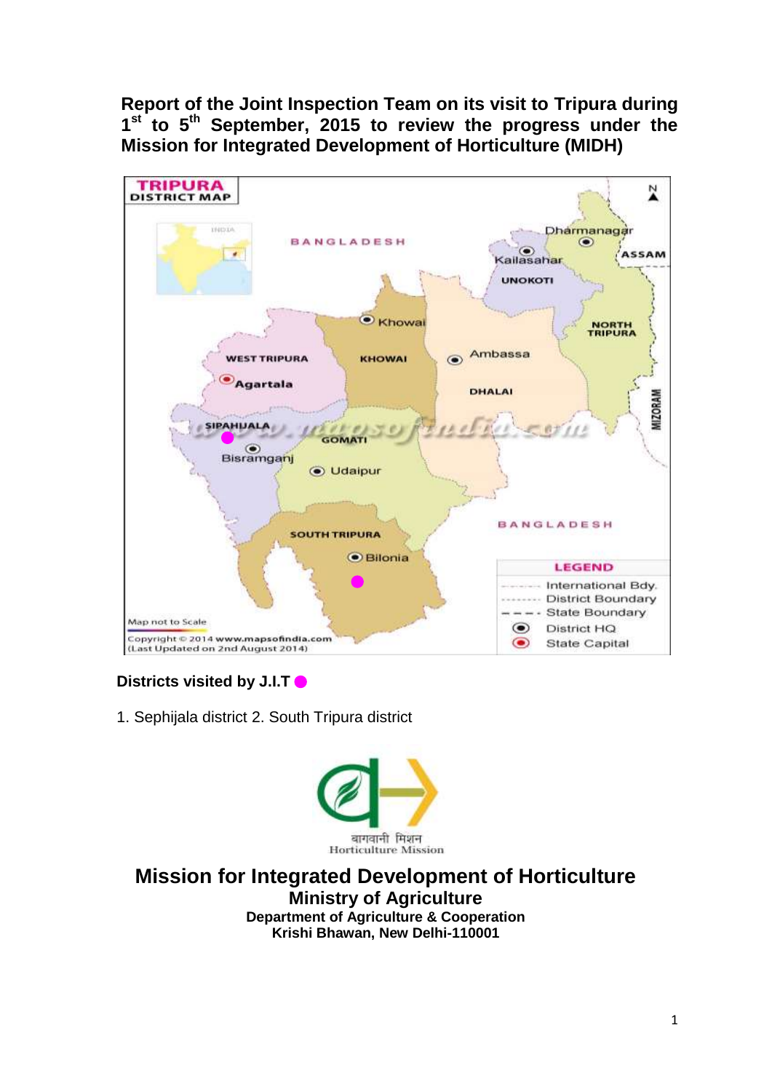**Report of the Joint Inspection Team on its visit to Tripura during 1 st to 5 th September, 2015 to review the progress under the Mission for Integrated Development of Horticulture (MIDH)** 



## **Districts visited by J.I.T**

1. Sephijala district 2. South Tripura district



**Mission for Integrated Development of Horticulture Ministry of Agriculture Department of Agriculture & Cooperation Krishi Bhawan, New Delhi-110001**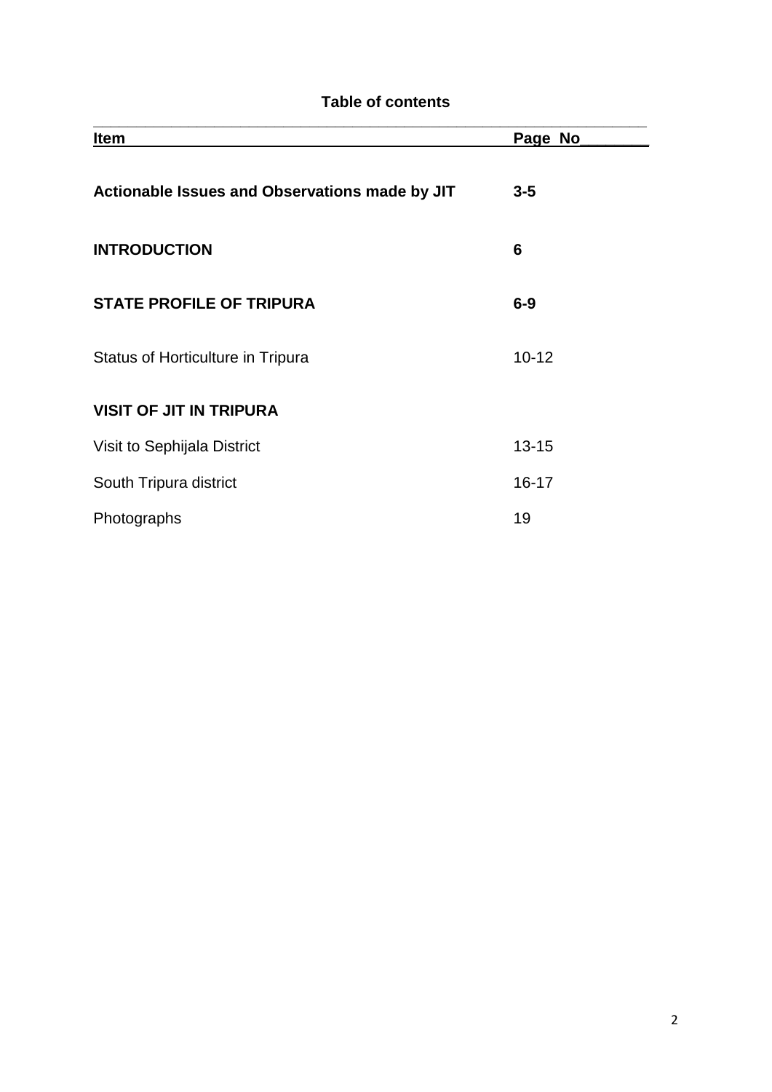## **Table of contents**

| <b>Item</b>                                    | Page No   |
|------------------------------------------------|-----------|
| Actionable Issues and Observations made by JIT | $3 - 5$   |
| <b>INTRODUCTION</b>                            | 6         |
| <b>STATE PROFILE OF TRIPURA</b>                | $6-9$     |
| <b>Status of Horticulture in Tripura</b>       | $10 - 12$ |
| <b>VISIT OF JIT IN TRIPURA</b>                 |           |
| Visit to Sephijala District                    | $13 - 15$ |
| South Tripura district                         | $16 - 17$ |
| Photographs                                    | 19        |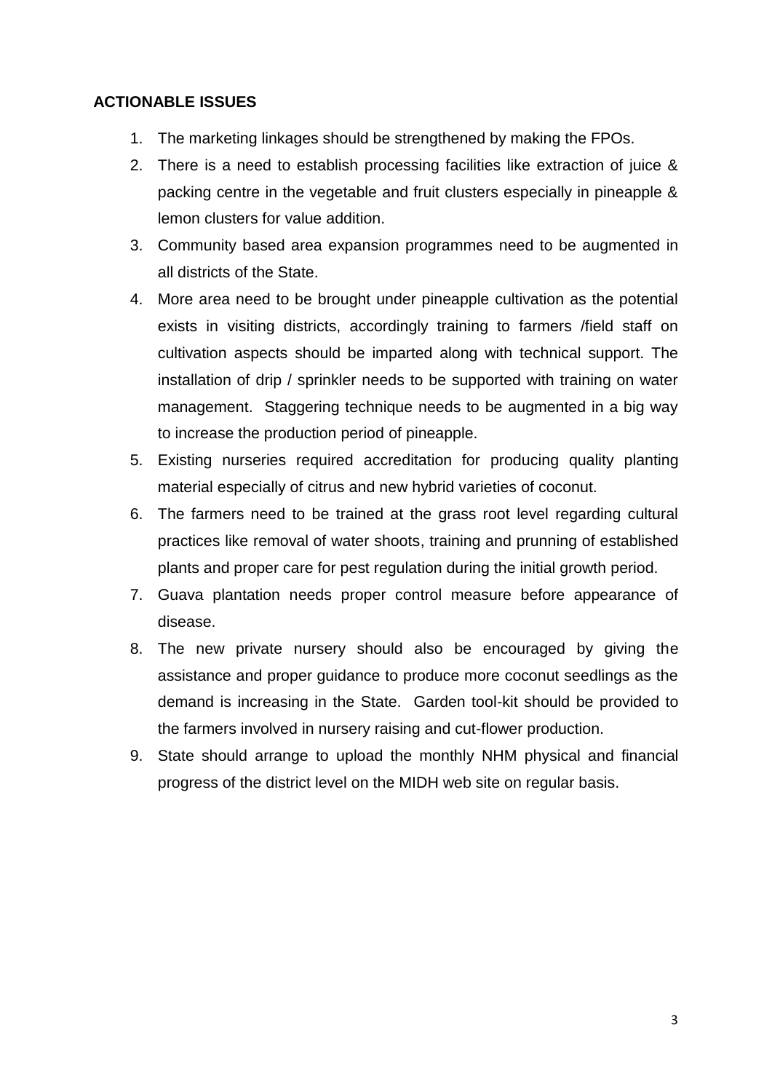## **ACTIONABLE ISSUES**

- 1. The marketing linkages should be strengthened by making the FPOs.
- 2. There is a need to establish processing facilities like extraction of juice & packing centre in the vegetable and fruit clusters especially in pineapple & lemon clusters for value addition.
- 3. Community based area expansion programmes need to be augmented in all districts of the State.
- 4. More area need to be brought under pineapple cultivation as the potential exists in visiting districts, accordingly training to farmers /field staff on cultivation aspects should be imparted along with technical support. The installation of drip / sprinkler needs to be supported with training on water management. Staggering technique needs to be augmented in a big way to increase the production period of pineapple.
- 5. Existing nurseries required accreditation for producing quality planting material especially of citrus and new hybrid varieties of coconut.
- 6. The farmers need to be trained at the grass root level regarding cultural practices like removal of water shoots, training and prunning of established plants and proper care for pest regulation during the initial growth period.
- 7. Guava plantation needs proper control measure before appearance of disease.
- 8. The new private nursery should also be encouraged by giving the assistance and proper guidance to produce more coconut seedlings as the demand is increasing in the State. Garden tool-kit should be provided to the farmers involved in nursery raising and cut-flower production.
- 9. State should arrange to upload the monthly NHM physical and financial progress of the district level on the MIDH web site on regular basis.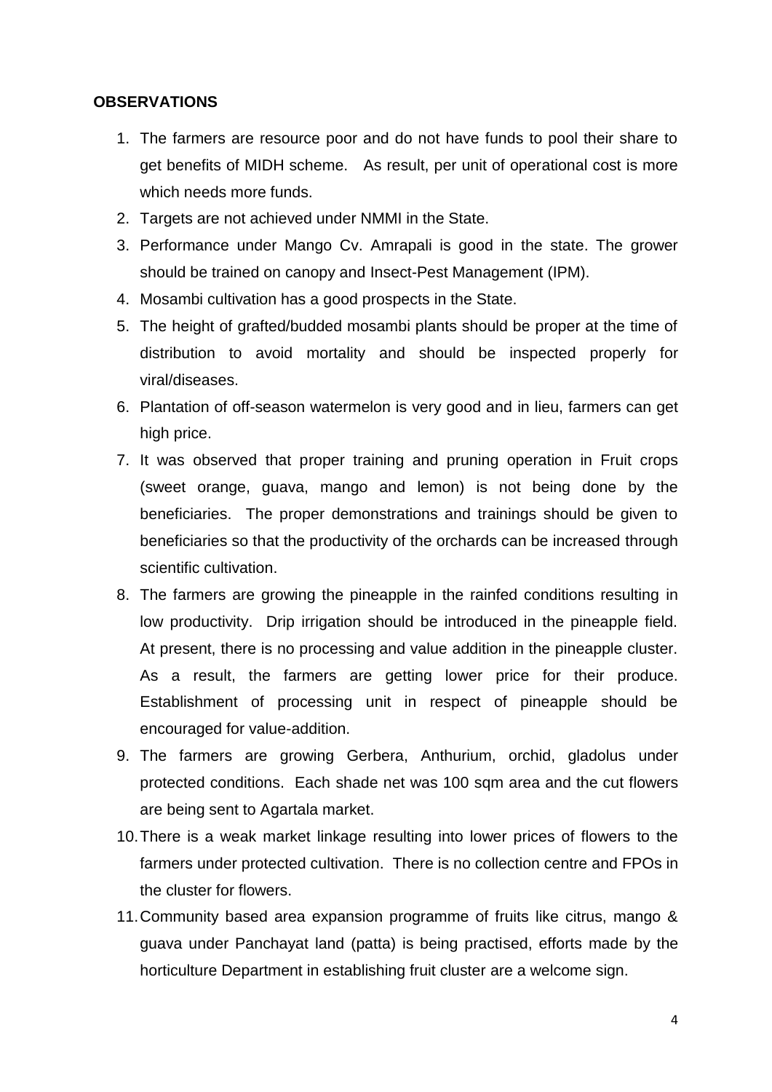## **OBSERVATIONS**

- 1. The farmers are resource poor and do not have funds to pool their share to get benefits of MIDH scheme. As result, per unit of operational cost is more which needs more funds.
- 2. Targets are not achieved under NMMI in the State.
- 3. Performance under Mango Cv. Amrapali is good in the state. The grower should be trained on canopy and Insect-Pest Management (IPM).
- 4. Mosambi cultivation has a good prospects in the State.
- 5. The height of grafted/budded mosambi plants should be proper at the time of distribution to avoid mortality and should be inspected properly for viral/diseases.
- 6. Plantation of off-season watermelon is very good and in lieu, farmers can get high price.
- 7. It was observed that proper training and pruning operation in Fruit crops (sweet orange, guava, mango and lemon) is not being done by the beneficiaries. The proper demonstrations and trainings should be given to beneficiaries so that the productivity of the orchards can be increased through scientific cultivation.
- 8. The farmers are growing the pineapple in the rainfed conditions resulting in low productivity. Drip irrigation should be introduced in the pineapple field. At present, there is no processing and value addition in the pineapple cluster. As a result, the farmers are getting lower price for their produce. Establishment of processing unit in respect of pineapple should be encouraged for value-addition.
- 9. The farmers are growing Gerbera, Anthurium, orchid, gladolus under protected conditions. Each shade net was 100 sqm area and the cut flowers are being sent to Agartala market.
- 10.There is a weak market linkage resulting into lower prices of flowers to the farmers under protected cultivation. There is no collection centre and FPOs in the cluster for flowers.
- 11.Community based area expansion programme of fruits like citrus, mango & guava under Panchayat land (patta) is being practised, efforts made by the horticulture Department in establishing fruit cluster are a welcome sign.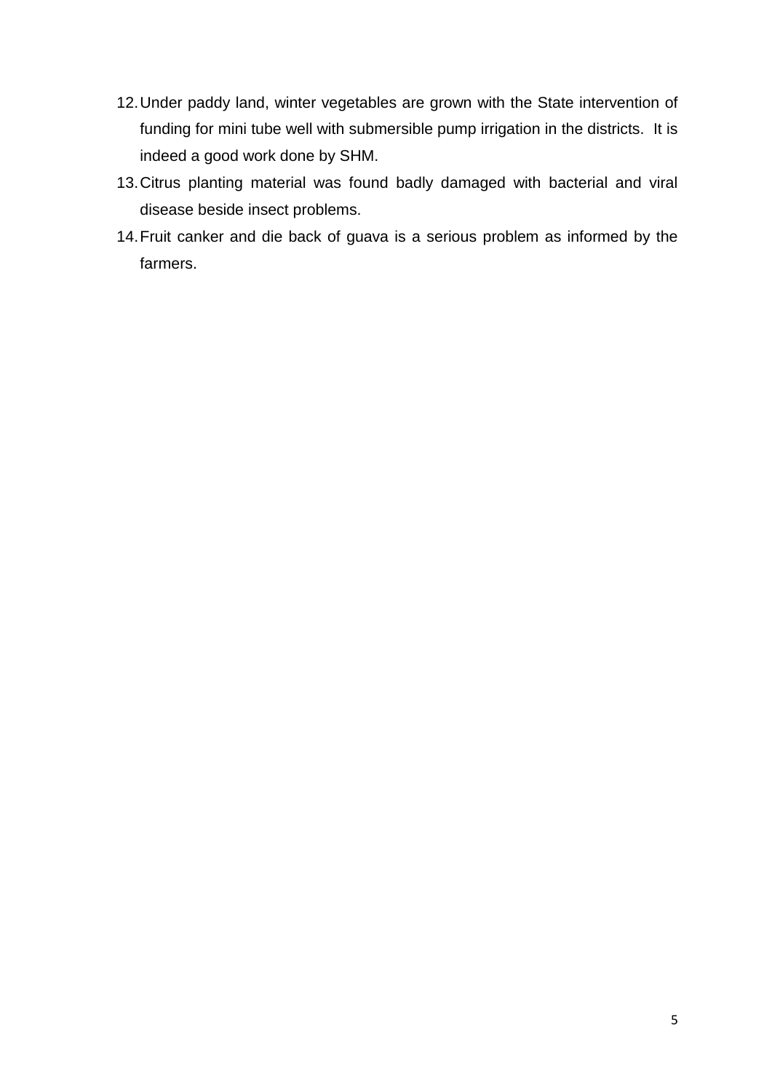- 12.Under paddy land, winter vegetables are grown with the State intervention of funding for mini tube well with submersible pump irrigation in the districts. It is indeed a good work done by SHM.
- 13.Citrus planting material was found badly damaged with bacterial and viral disease beside insect problems.
- 14.Fruit canker and die back of guava is a serious problem as informed by the farmers.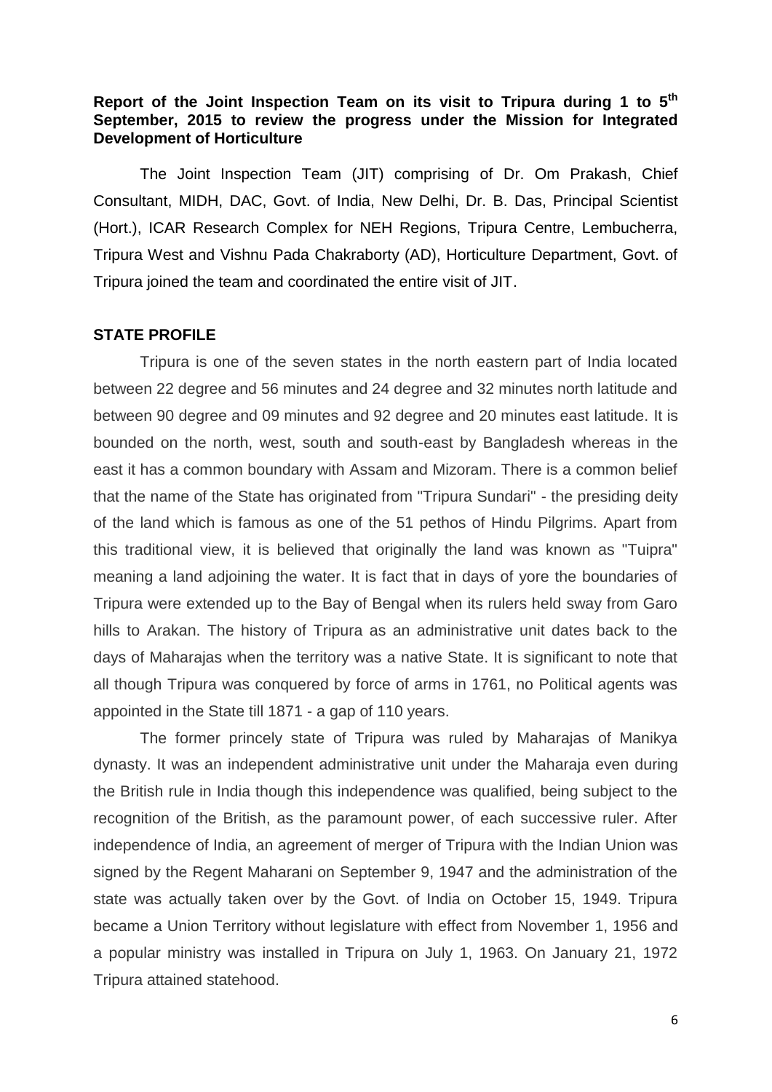## **Report of the Joint Inspection Team on its visit to Tripura during 1 to 5th September, 2015 to review the progress under the Mission for Integrated Development of Horticulture**

The Joint Inspection Team (JIT) comprising of Dr. Om Prakash, Chief Consultant, MIDH, DAC, Govt. of India, New Delhi, Dr. B. Das, Principal Scientist (Hort.), ICAR Research Complex for NEH Regions, Tripura Centre, Lembucherra, Tripura West and Vishnu Pada Chakraborty (AD), Horticulture Department, Govt. of Tripura joined the team and coordinated the entire visit of JIT.

#### **STATE PROFILE**

Tripura is one of the seven states in the north eastern part of India located between 22 degree and 56 minutes and 24 degree and 32 minutes north latitude and between 90 degree and 09 minutes and 92 degree and 20 minutes east latitude. It is bounded on the north, west, south and south-east by Bangladesh whereas in the east it has a common boundary with Assam and Mizoram. There is a common belief that the name of the State has originated from "Tripura Sundari" - the presiding deity of the land which is famous as one of the 51 pethos of Hindu Pilgrims. Apart from this traditional view, it is believed that originally the land was known as "Tuipra" meaning a land adjoining the water. It is fact that in days of yore the boundaries of Tripura were extended up to the Bay of Bengal when its rulers held sway from Garo hills to Arakan. The history of Tripura as an administrative unit dates back to the days of Maharajas when the territory was a native State. It is significant to note that all though Tripura was conquered by force of arms in 1761, no Political agents was appointed in the State till 1871 - a gap of 110 years.

The former princely state of Tripura was ruled by Maharajas of Manikya dynasty. It was an independent administrative unit under the Maharaja even during the British rule in India though this independence was qualified, being subject to the recognition of the British, as the paramount power, of each successive ruler. After independence of India, an agreement of merger of Tripura with the Indian Union was signed by the Regent Maharani on September 9, 1947 and the administration of the state was actually taken over by the Govt. of India on October 15, 1949. Tripura became a Union Territory without legislature with effect from November 1, 1956 and a popular ministry was installed in Tripura on July 1, 1963. On January 21, 1972 Tripura attained statehood.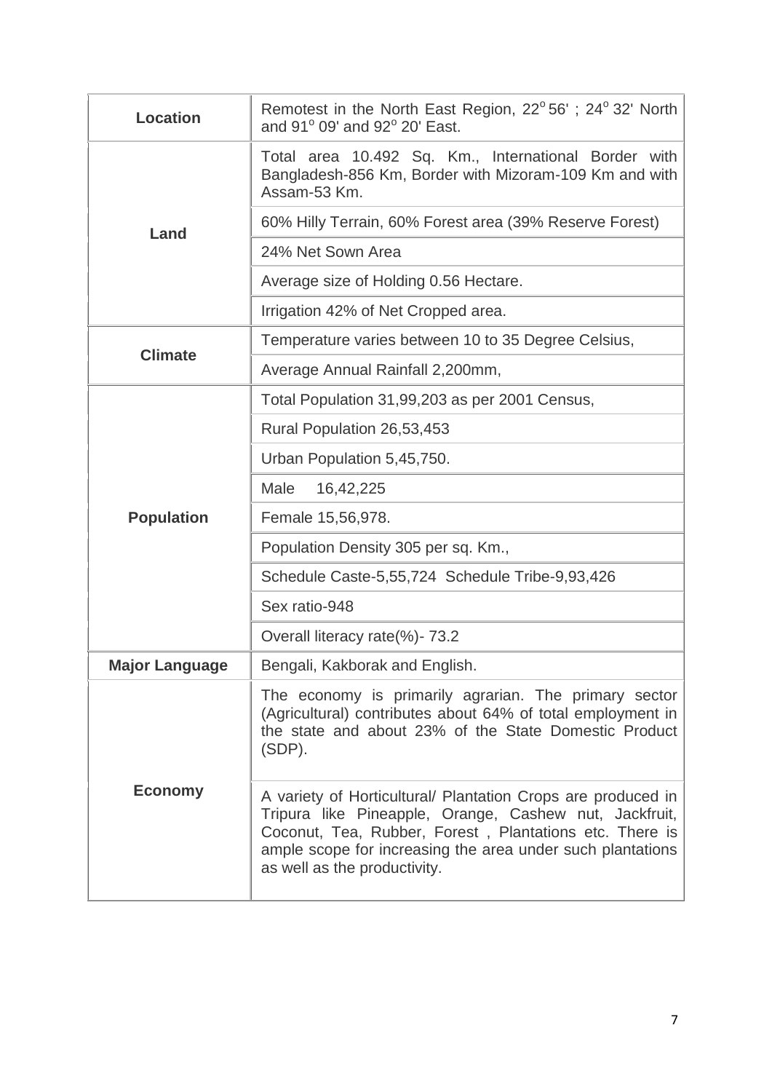| <b>Location</b>       | Remotest in the North East Region, 22°56'; 24°32' North<br>and 91° 09' and 92° 20' East.                                                                                                                                                                                        |  |  |  |  |  |  |  |
|-----------------------|---------------------------------------------------------------------------------------------------------------------------------------------------------------------------------------------------------------------------------------------------------------------------------|--|--|--|--|--|--|--|
|                       | Total area 10.492 Sq. Km., International Border with<br>Bangladesh-856 Km, Border with Mizoram-109 Km and with<br>Assam-53 Km.                                                                                                                                                  |  |  |  |  |  |  |  |
| Land                  | 60% Hilly Terrain, 60% Forest area (39% Reserve Forest)                                                                                                                                                                                                                         |  |  |  |  |  |  |  |
|                       | 24% Net Sown Area                                                                                                                                                                                                                                                               |  |  |  |  |  |  |  |
|                       | Average size of Holding 0.56 Hectare.                                                                                                                                                                                                                                           |  |  |  |  |  |  |  |
|                       | Irrigation 42% of Net Cropped area.                                                                                                                                                                                                                                             |  |  |  |  |  |  |  |
| <b>Climate</b>        | Temperature varies between 10 to 35 Degree Celsius,                                                                                                                                                                                                                             |  |  |  |  |  |  |  |
|                       | Average Annual Rainfall 2,200mm,                                                                                                                                                                                                                                                |  |  |  |  |  |  |  |
|                       | Total Population 31,99,203 as per 2001 Census,                                                                                                                                                                                                                                  |  |  |  |  |  |  |  |
|                       | Rural Population 26,53,453                                                                                                                                                                                                                                                      |  |  |  |  |  |  |  |
|                       | Urban Population 5,45,750.                                                                                                                                                                                                                                                      |  |  |  |  |  |  |  |
|                       | Male<br>16,42,225                                                                                                                                                                                                                                                               |  |  |  |  |  |  |  |
| <b>Population</b>     | Female 15,56,978.                                                                                                                                                                                                                                                               |  |  |  |  |  |  |  |
|                       | Population Density 305 per sq. Km.,                                                                                                                                                                                                                                             |  |  |  |  |  |  |  |
|                       | Schedule Caste-5,55,724 Schedule Tribe-9,93,426                                                                                                                                                                                                                                 |  |  |  |  |  |  |  |
|                       | Sex ratio-948                                                                                                                                                                                                                                                                   |  |  |  |  |  |  |  |
|                       | Overall literacy rate(%)-73.2                                                                                                                                                                                                                                                   |  |  |  |  |  |  |  |
| <b>Major Language</b> | Bengali, Kakborak and English.                                                                                                                                                                                                                                                  |  |  |  |  |  |  |  |
|                       | The economy is primarily agrarian. The primary sector<br>(Agricultural) contributes about 64% of total employment in<br>the state and about 23% of the State Domestic Product<br>(SDP).                                                                                         |  |  |  |  |  |  |  |
| <b>Economy</b>        | A variety of Horticultural/ Plantation Crops are produced in<br>Tripura like Pineapple, Orange, Cashew nut, Jackfruit,<br>Coconut, Tea, Rubber, Forest, Plantations etc. There is<br>ample scope for increasing the area under such plantations<br>as well as the productivity. |  |  |  |  |  |  |  |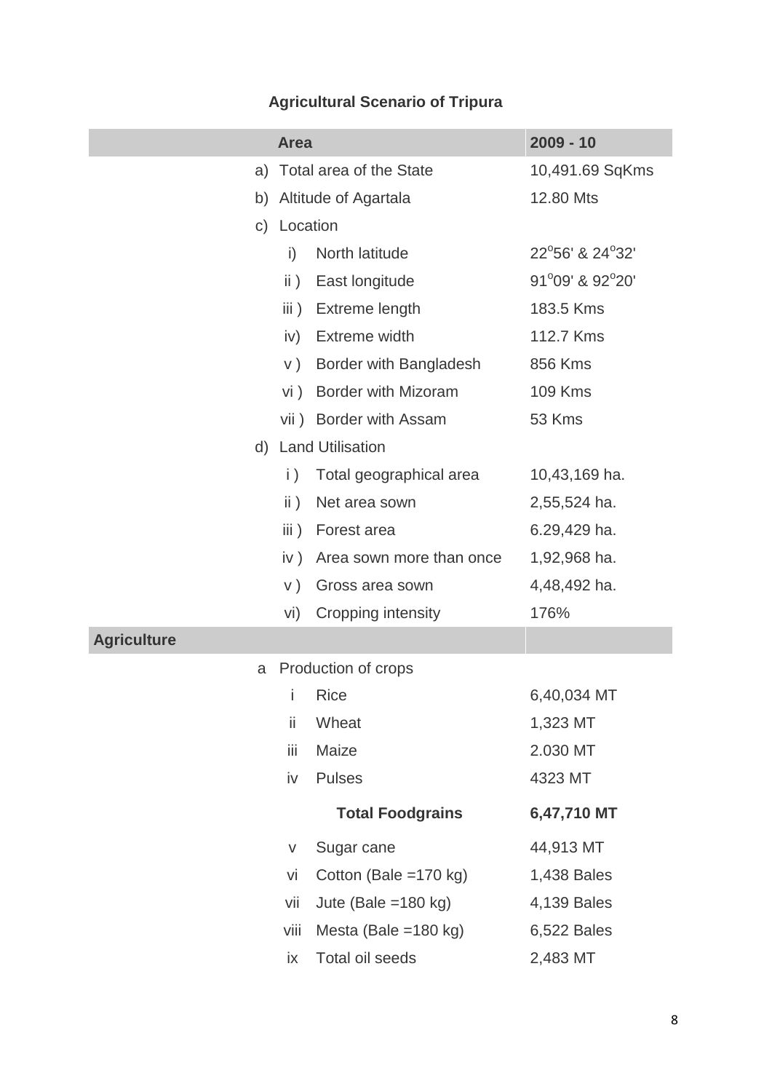# **Agricultural Scenario of Tripura**

|                    | <b>Area</b>                 |                            | $2009 - 10$     |
|--------------------|-----------------------------|----------------------------|-----------------|
| a)                 |                             | Total area of the State    | 10,491.69 SqKms |
| b)                 |                             | Altitude of Agartala       | 12.80 Mts       |
| C)                 | Location                    |                            |                 |
|                    | i)                          | North latitude             | 22°56' & 24°32' |
|                    | $\mathsf{ii}$ )             | East longitude             | 91°09' & 92°20' |
|                    | $\overline{\mathsf{iii}}$ ) | Extreme length             | 183.5 Kms       |
|                    | iv)                         | Extreme width              | 112.7 Kms       |
|                    | V)                          | Border with Bangladesh     | 856 Kms         |
|                    | vi)                         | <b>Border with Mizoram</b> | <b>109 Kms</b>  |
|                    |                             | vii) Border with Assam     | 53 Kms          |
|                    |                             | d) Land Utilisation        |                 |
|                    | $\vert$ )                   | Total geographical area    | 10,43,169 ha.   |
|                    | $\mathsf{ii}$ )             | Net area sown              | 2,55,524 ha.    |
|                    | iii)                        | Forest area                | 6.29,429 ha.    |
|                    | iv)                         | Area sown more than once   | 1,92,968 ha.    |
|                    | V)                          | Gross area sown            | 4,48,492 ha.    |
|                    | vi)                         | Cropping intensity         | 176%            |
| <b>Agriculture</b> |                             |                            |                 |
| a                  |                             | Production of crops        |                 |
|                    | i                           | <b>Rice</b>                | 6,40,034 MT     |
|                    | ii.                         | Wheat                      | 1,323 MT        |
|                    | iij                         | Maize                      | 2.030 MT        |
|                    | iv                          | <b>Pulses</b>              | 4323 MT         |
|                    |                             | <b>Total Foodgrains</b>    | 6,47,710 MT     |
|                    | V                           | Sugar cane                 | 44,913 MT       |
|                    | vi                          | Cotton (Bale =170 kg)      | 1,438 Bales     |
|                    | vii                         | Jute (Bale = $180$ kg)     | 4,139 Bales     |
|                    | viii                        | Mesta (Bale = $180$ kg)    | 6,522 Bales     |
|                    | ix                          | Total oil seeds            | 2,483 MT        |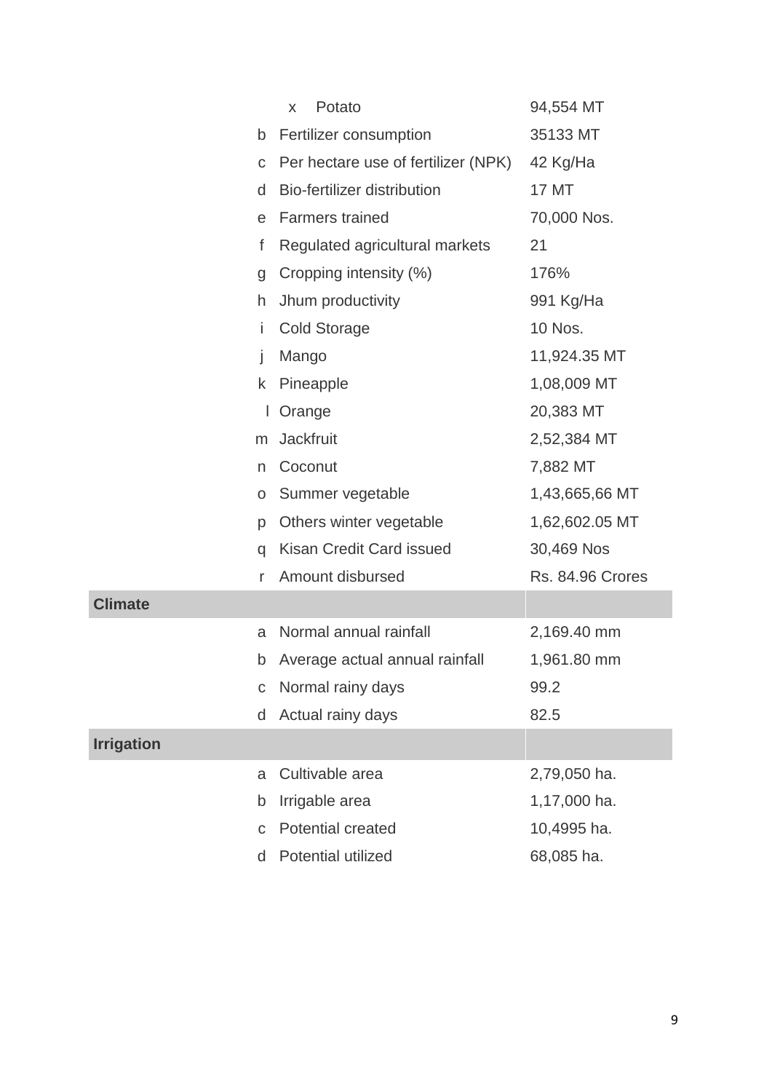|                   | Potato<br>X                         | 94,554 MT        |
|-------------------|-------------------------------------|------------------|
| b                 | Fertilizer consumption              | 35133 MT         |
| $\mathsf C$       | Per hectare use of fertilizer (NPK) | 42 Kg/Ha         |
| d                 | Bio-fertilizer distribution         | 17 MT            |
| e                 | <b>Farmers trained</b>              | 70,000 Nos.      |
| f                 | Regulated agricultural markets      | 21               |
| g                 | Cropping intensity (%)              | 176%             |
| h                 | Jhum productivity                   | 991 Kg/Ha        |
| İ                 | <b>Cold Storage</b>                 | 10 Nos.          |
| j                 | Mango                               | 11,924.35 MT     |
| k                 | Pineapple                           | 1,08,009 MT      |
| L                 | Orange                              | 20,383 MT        |
| m                 | <b>Jackfruit</b>                    | 2,52,384 MT      |
| n                 | Coconut                             | 7,882 MT         |
| O                 | Summer vegetable                    | 1,43,665,66 MT   |
| p                 | Others winter vegetable             | 1,62,602.05 MT   |
| q                 | Kisan Credit Card issued            | 30,469 Nos       |
| r                 | Amount disbursed                    | Rs. 84.96 Crores |
| <b>Climate</b>    |                                     |                  |
| a                 | Normal annual rainfall              | 2,169.40 mm      |
| b                 | Average actual annual rainfall      | 1,961.80 mm      |
| C                 | Normal rainy days                   | 99.2             |
| d                 | Actual rainy days                   | 82.5             |
| <b>Irrigation</b> |                                     |                  |
| a                 | Cultivable area                     | 2,79,050 ha.     |
| b                 | Irrigable area                      | 1,17,000 ha.     |
| C                 | <b>Potential created</b>            | 10,4995 ha.      |
| d                 | Potential utilized                  | 68,085 ha.       |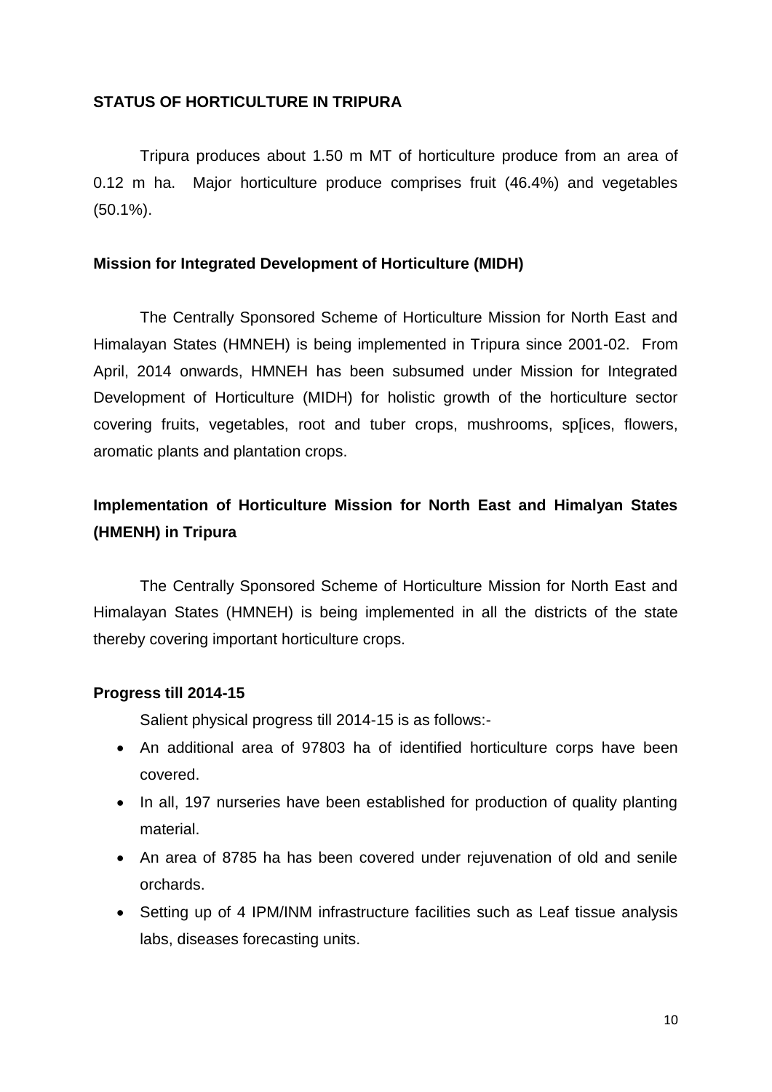## **STATUS OF HORTICULTURE IN TRIPURA**

Tripura produces about 1.50 m MT of horticulture produce from an area of 0.12 m ha. Major horticulture produce comprises fruit (46.4%) and vegetables (50.1%).

## **Mission for Integrated Development of Horticulture (MIDH)**

The Centrally Sponsored Scheme of Horticulture Mission for North East and Himalayan States (HMNEH) is being implemented in Tripura since 2001-02. From April, 2014 onwards, HMNEH has been subsumed under Mission for Integrated Development of Horticulture (MIDH) for holistic growth of the horticulture sector covering fruits, vegetables, root and tuber crops, mushrooms, sp[ices, flowers, aromatic plants and plantation crops.

## **Implementation of Horticulture Mission for North East and Himalyan States (HMENH) in Tripura**

The Centrally Sponsored Scheme of Horticulture Mission for North East and Himalayan States (HMNEH) is being implemented in all the districts of the state thereby covering important horticulture crops.

#### **Progress till 2014-15**

Salient physical progress till 2014-15 is as follows:-

- An additional area of 97803 ha of identified horticulture corps have been covered.
- In all, 197 nurseries have been established for production of quality planting material.
- An area of 8785 ha has been covered under rejuvenation of old and senile orchards.
- Setting up of 4 IPM/INM infrastructure facilities such as Leaf tissue analysis labs, diseases forecasting units.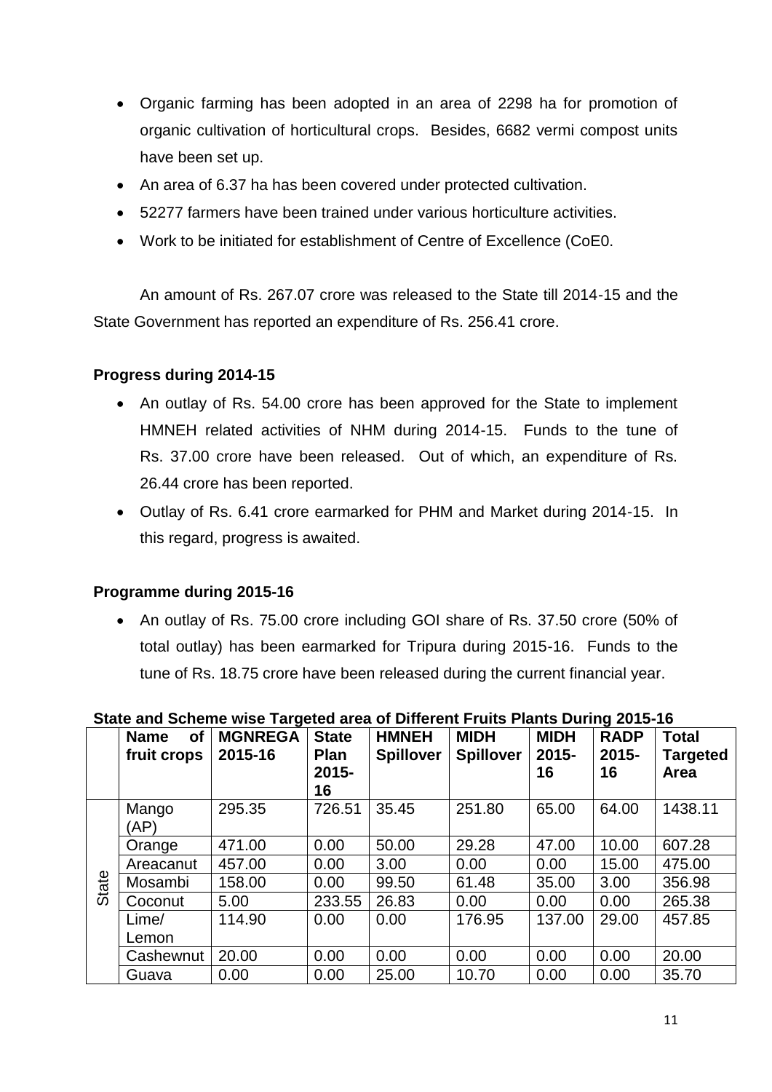- Organic farming has been adopted in an area of 2298 ha for promotion of organic cultivation of horticultural crops. Besides, 6682 vermi compost units have been set up.
- An area of 6.37 ha has been covered under protected cultivation.
- 52277 farmers have been trained under various horticulture activities.
- Work to be initiated for establishment of Centre of Excellence (CoE0.

An amount of Rs. 267.07 crore was released to the State till 2014-15 and the State Government has reported an expenditure of Rs. 256.41 crore.

## **Progress during 2014-15**

- An outlay of Rs. 54.00 crore has been approved for the State to implement HMNEH related activities of NHM during 2014-15. Funds to the tune of Rs. 37.00 crore have been released. Out of which, an expenditure of Rs. 26.44 crore has been reported.
- Outlay of Rs. 6.41 crore earmarked for PHM and Market during 2014-15. In this regard, progress is awaited.

## **Programme during 2015-16**

• An outlay of Rs. 75.00 crore including GOI share of Rs. 37.50 crore (50% of total outlay) has been earmarked for Tripura during 2015-16. Funds to the tune of Rs. 18.75 crore have been released during the current financial year.

|       | <b>of</b><br><b>Name</b><br>fruit crops | <b>MGNREGA</b><br>2015-16 | <b>State</b><br><b>Plan</b><br>$2015 -$<br>16 | <b>HMNEH</b><br><b>Spillover</b> | <b>MIDH</b><br><b>Spillover</b> | <b>MIDH</b><br>$2015 -$<br>16 | <b>RADP</b><br>$2015 -$<br>16 | <b>Total</b><br><b>Targeted</b><br>Area |
|-------|-----------------------------------------|---------------------------|-----------------------------------------------|----------------------------------|---------------------------------|-------------------------------|-------------------------------|-----------------------------------------|
|       | Mango<br>(AP)                           | 295.35                    | 726.51                                        | 35.45                            | 251.80                          | 65.00                         | 64.00                         | 1438.11                                 |
|       | Orange                                  | 471.00                    | 0.00                                          | 50.00                            | 29.28                           | 47.00                         | 10.00                         | 607.28                                  |
|       | Areacanut                               | 457.00                    | 0.00                                          | 3.00                             | 0.00                            | 0.00                          | 15.00                         | 475.00                                  |
| State | Mosambi                                 | 158.00                    | 0.00                                          | 99.50                            | 61.48                           | 35.00                         | 3.00                          | 356.98                                  |
|       | Coconut                                 | 5.00                      | 233.55                                        | 26.83                            | 0.00                            | 0.00                          | 0.00                          | 265.38                                  |
|       | Lime/                                   | 114.90                    | 0.00                                          | 0.00                             | 176.95                          | 137.00                        | 29.00                         | 457.85                                  |
|       | Lemon                                   |                           |                                               |                                  |                                 |                               |                               |                                         |
|       | Cashewnut                               | 20.00                     | 0.00                                          | 0.00                             | 0.00                            | 0.00                          | 0.00                          | 20.00                                   |
|       | Guava                                   | 0.00                      | 0.00                                          | 25.00                            | 10.70                           | 0.00                          | 0.00                          | 35.70                                   |

## **State and Scheme wise Targeted area of Different Fruits Plants During 2015-16**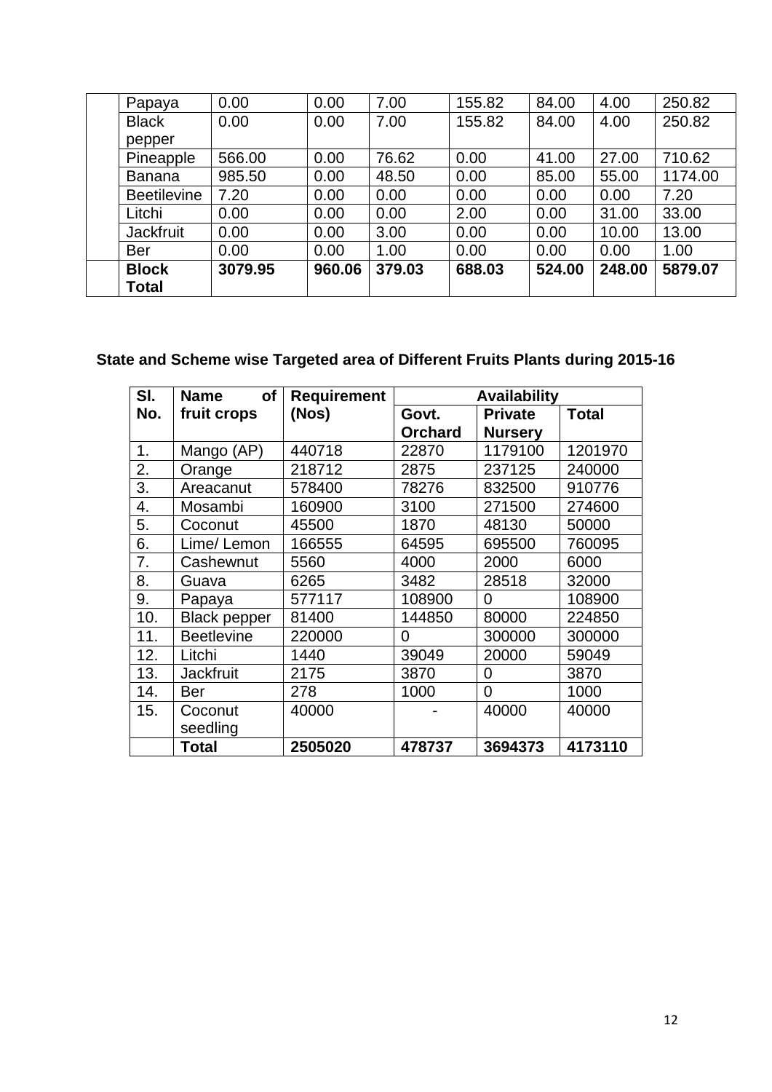| Pineapple<br><b>Banana</b> | 566.00<br>985.50 | 0.00<br>0.00 | 76.62<br>48.50 | 0.00<br>0.00 | 41.00<br>85.00 | 27.00<br>55.00 | 710.62<br>1174.00 |
|----------------------------|------------------|--------------|----------------|--------------|----------------|----------------|-------------------|
| <b>Beetilevine</b>         | 7.20             | 0.00         | 0.00           | 0.00         | 0.00           | 0.00           | 7.20              |
| Litchi                     | 0.00             | 0.00         | 0.00           | 2.00         | 0.00           | 31.00          | 33.00             |
| <b>Jackfruit</b>           | 0.00             | 0.00         | 3.00           | 0.00         | 0.00           | 10.00          | 13.00             |
| <b>Ber</b>                 | 0.00             | 0.00         | 1.00           | 0.00         | 0.00           | 0.00           | 1.00              |
| <b>Block</b><br>Total      | 3079.95          | 960.06       | 379.03         | 688.03       | 524.00         | 248.00         | 5879.07           |

## **State and Scheme wise Targeted area of Different Fruits Plants during 2015-16**

| SI. | <b>Name</b><br><b>of</b> | <b>Requirement</b> | <b>Availability</b> |                |              |  |  |
|-----|--------------------------|--------------------|---------------------|----------------|--------------|--|--|
| No. | fruit crops              | (Nos)              | Govt.               | <b>Private</b> | <b>Total</b> |  |  |
|     |                          |                    | <b>Orchard</b>      | <b>Nursery</b> |              |  |  |
| 1.  | Mango (AP)               | 440718             | 22870               | 1179100        | 1201970      |  |  |
| 2.  | Orange                   | 218712             | 2875                | 237125         | 240000       |  |  |
| 3.  | Areacanut                | 578400             | 78276               | 832500         | 910776       |  |  |
| 4.  | Mosambi                  | 160900             | 3100                | 271500         | 274600       |  |  |
| 5.  | Coconut                  | 45500              | 1870                | 48130          | 50000        |  |  |
| 6.  | Lime/Lemon               | 166555             | 64595               | 695500         | 760095       |  |  |
| 7.  | Cashewnut                | 5560               | 4000                | 2000           | 6000         |  |  |
| 8.  | Guava                    | 6265               | 3482                | 28518          | 32000        |  |  |
| 9.  | Papaya                   | 577117             | 108900              | 0              | 108900       |  |  |
| 10. | <b>Black pepper</b>      | 81400              | 144850              | 80000          | 224850       |  |  |
| 11. | <b>Beetlevine</b>        | 220000             | 0                   | 300000         | 300000       |  |  |
| 12. | Litchi                   | 1440               | 39049               | 20000          | 59049        |  |  |
| 13. | <b>Jackfruit</b>         | 2175               | 3870                | 0              | 3870         |  |  |
| 14. | Ber                      | 278                | 1000                | $\overline{0}$ | 1000         |  |  |
| 15. | Coconut                  | 40000              |                     | 40000          | 40000        |  |  |
|     | seedling                 |                    |                     |                |              |  |  |
|     | <b>Total</b>             | 2505020            | 478737              | 3694373        | 4173110      |  |  |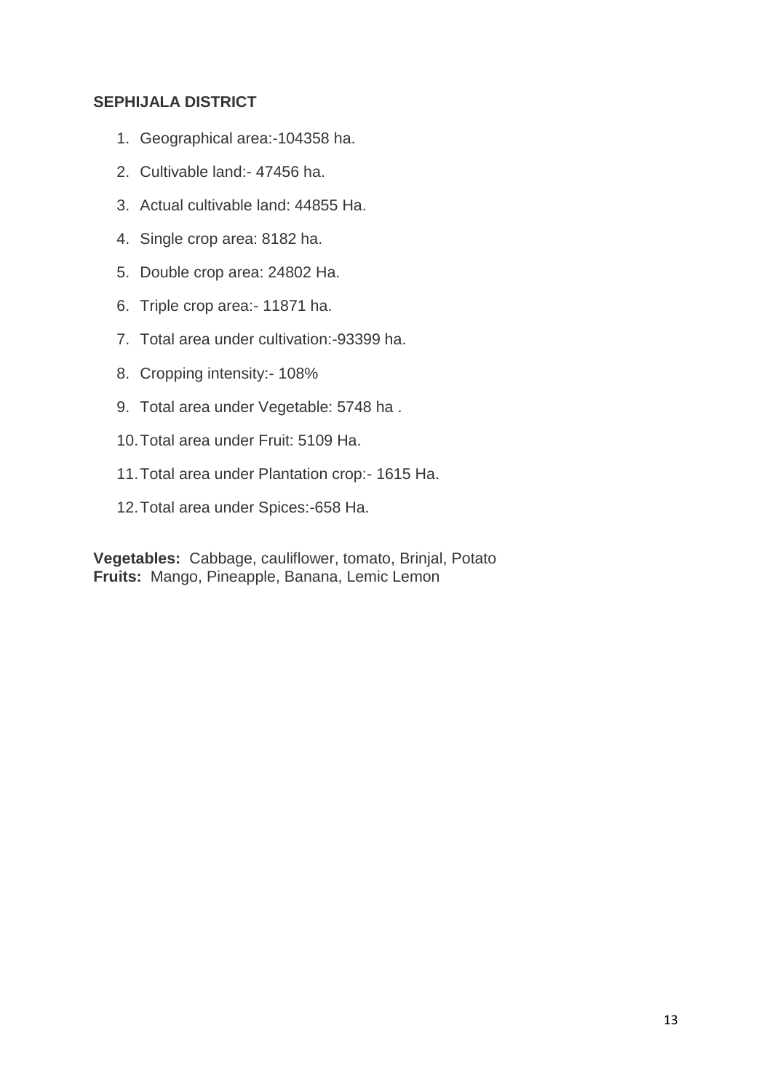## **SEPHIJALA DISTRICT**

- 1. Geographical area:-104358 ha.
- 2. Cultivable land:- 47456 ha.
- 3. Actual cultivable land: 44855 Ha.
- 4. Single crop area: 8182 ha.
- 5. Double crop area: 24802 Ha.
- 6. Triple crop area:- 11871 ha.
- 7. Total area under cultivation:-93399 ha.
- 8. Cropping intensity:- 108%
- 9. Total area under Vegetable: 5748 ha .
- 10.Total area under Fruit: 5109 Ha.
- 11.Total area under Plantation crop:- 1615 Ha.
- 12.Total area under Spices:-658 Ha.

**Vegetables:** Cabbage, cauliflower, tomato, Brinjal, Potato **Fruits:** Mango, Pineapple, Banana, Lemic Lemon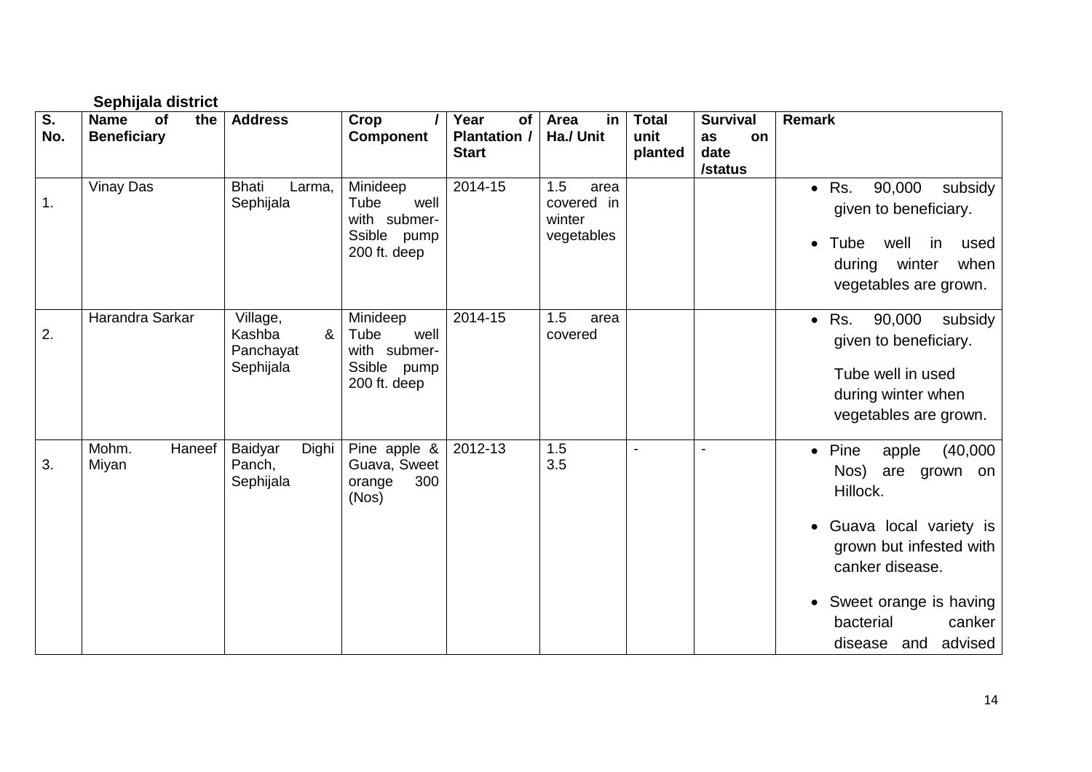|                                  | Sephijala district                                    |                                                          |                                                                            |                                                   |                                                   |                                 |                                                |                                                                                                                                                                                                                                        |
|----------------------------------|-------------------------------------------------------|----------------------------------------------------------|----------------------------------------------------------------------------|---------------------------------------------------|---------------------------------------------------|---------------------------------|------------------------------------------------|----------------------------------------------------------------------------------------------------------------------------------------------------------------------------------------------------------------------------------------|
| $\overline{\mathsf{S}}$ .<br>No. | <b>Name</b><br><b>of</b><br>the<br><b>Beneficiary</b> | <b>Address</b>                                           | Crop<br><b>Component</b>                                                   | Year<br>of<br><b>Plantation /</b><br><b>Start</b> | Area<br>in<br>Ha./ Unit                           | <b>Total</b><br>unit<br>planted | <b>Survival</b><br>on<br>as<br>date<br>/status | <b>Remark</b>                                                                                                                                                                                                                          |
| 1.                               | <b>Vinay Das</b>                                      | <b>Bhati</b><br>Larma,<br>Sephijala                      | Minideep<br>Tube<br>well<br>with submer-<br>Ssible pump<br>200 ft. deep    | 2014-15                                           | 1.5<br>area<br>covered in<br>winter<br>vegetables |                                 |                                                | 90,000<br>subsidy<br>Rs.<br>$\bullet$<br>given to beneficiary.<br>Tube<br>well<br>in<br>used<br>$\bullet$<br>during winter<br>when<br>vegetables are grown.                                                                            |
| 2.                               | Harandra Sarkar                                       | Village,<br>$\alpha$<br>Kashba<br>Panchayat<br>Sephijala | Minideep<br>well<br>Tube<br>with submer-<br>Ssible<br>pump<br>200 ft. deep | 2014-15                                           | 1.5<br>area<br>covered                            |                                 |                                                | 90,000<br>Rs.<br>subsidy<br>$\bullet$<br>given to beneficiary.<br>Tube well in used<br>during winter when<br>vegetables are grown.                                                                                                     |
| 3.                               | Mohm.<br>Haneef<br>Miyan                              | Baidyar<br>Dighi<br>Panch,<br>Sephijala                  | Pine apple $\&$<br>Guava, Sweet<br>300<br>orange<br>(Nos)                  | 2012-13                                           | 1.5<br>3.5                                        | $\blacksquare$                  | $\overline{\phantom{a}}$                       | $\bullet$ Pine<br>(40,000)<br>apple<br>Nos)<br>are grown on<br>Hillock.<br>Guava local variety is<br>$\bullet$<br>grown but infested with<br>canker disease.<br>• Sweet orange is having<br>bacterial<br>canker<br>disease and advised |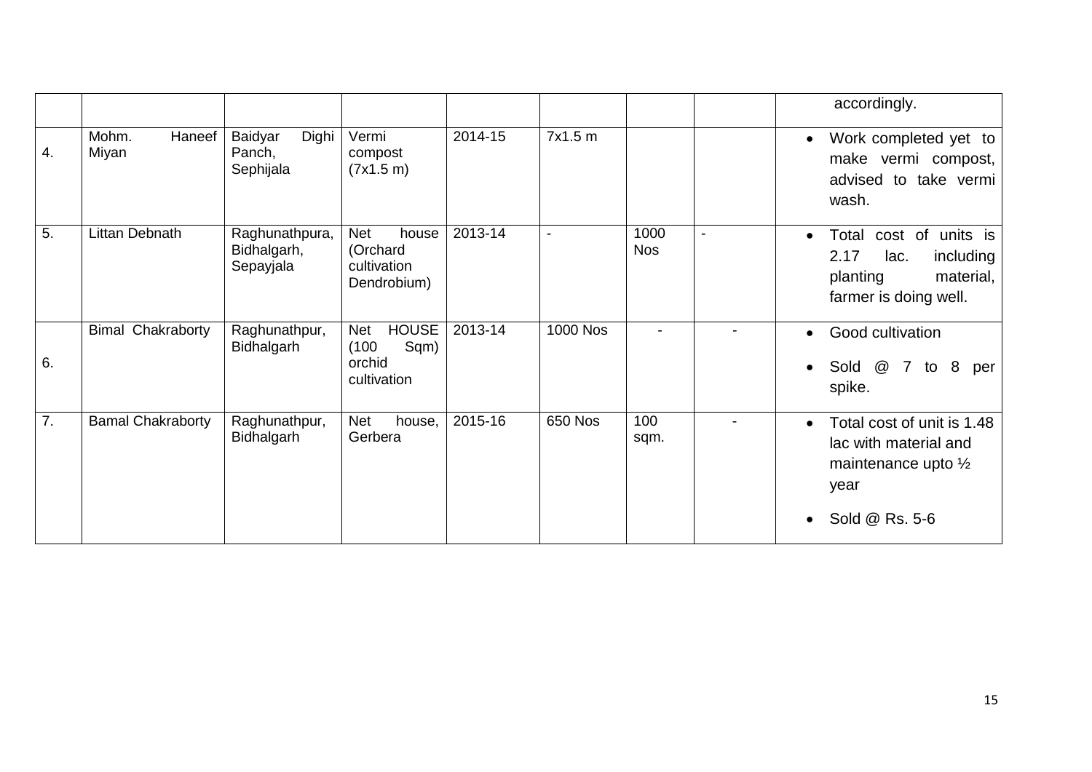|    |                          |                                            |                                                                      |         |                 |                    |                | accordingly.                                                                                                    |
|----|--------------------------|--------------------------------------------|----------------------------------------------------------------------|---------|-----------------|--------------------|----------------|-----------------------------------------------------------------------------------------------------------------|
| 4. | Mohm.<br>Haneef<br>Miyan | Baidyar<br>Dighi<br>Panch,<br>Sephijala    | Vermi<br>compost<br>(7x1.5 m)                                        | 2014-15 | 7x1.5 m         |                    |                | Work completed yet to<br>make vermi compost,<br>advised to take vermi<br>wash.                                  |
| 5. | Littan Debnath           | Raghunathpura,<br>Bidhalgarh,<br>Sepayjala | <b>Net</b><br>house<br>(Orchard<br>cultivation<br>Dendrobium)        | 2013-14 | $\blacksquare$  | 1000<br><b>Nos</b> | $\blacksquare$ | cost of units is<br>Total<br>2.17<br>including<br>lac.<br>material,<br>planting<br>farmer is doing well.        |
| 6. | <b>Bimal Chakraborty</b> | Raghunathpur,<br>Bidhalgarh                | <b>HOUSE</b><br><b>Net</b><br>Sqm)<br>(100)<br>orchid<br>cultivation | 2013-14 | <b>1000 Nos</b> |                    |                | Good cultivation<br>@<br>7 to<br>8 <sup>8</sup><br>Sold<br>per<br>spike.                                        |
| 7. | <b>Bamal Chakraborty</b> | Raghunathpur,<br>Bidhalgarh                | <b>Net</b><br>house,<br>Gerbera                                      | 2015-16 | 650 Nos         | 100<br>sqm.        |                | Total cost of unit is 1.48<br>lac with material and<br>maintenance upto $\frac{1}{2}$<br>year<br>Sold @ Rs. 5-6 |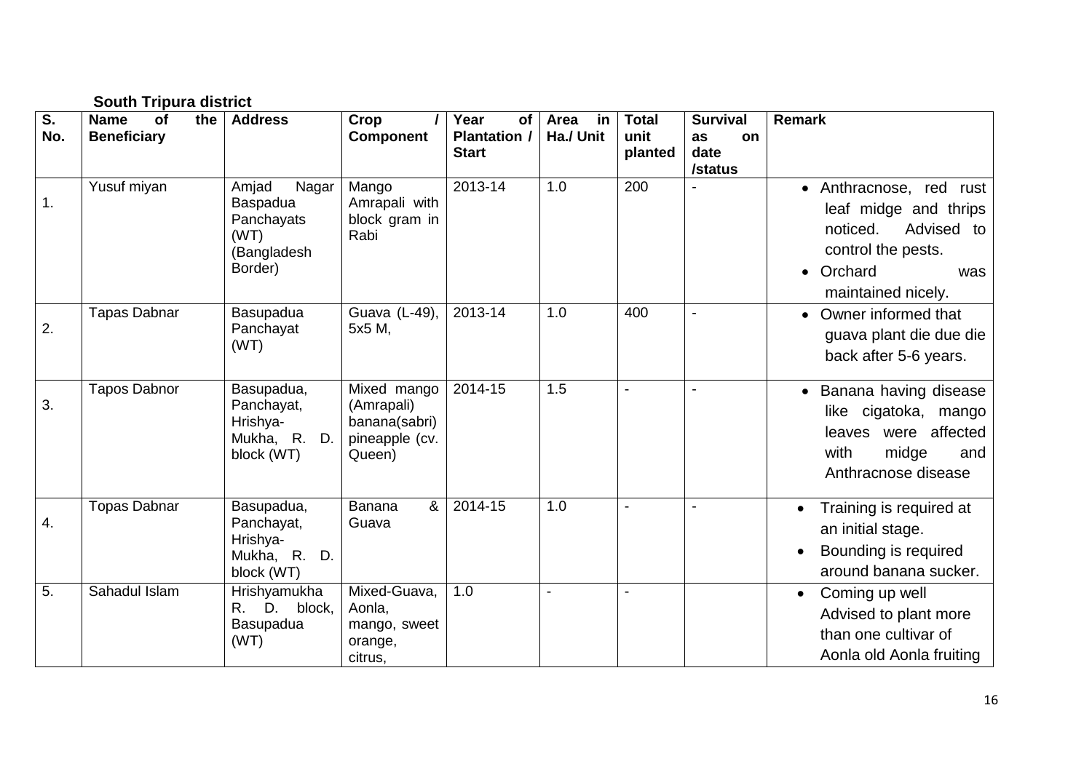|           | <b>South Tripura district</b>                  |                                                                            |                                                                        |                                                   |                         |                                 |                                                |                                                                                                                                               |  |
|-----------|------------------------------------------------|----------------------------------------------------------------------------|------------------------------------------------------------------------|---------------------------------------------------|-------------------------|---------------------------------|------------------------------------------------|-----------------------------------------------------------------------------------------------------------------------------------------------|--|
| S.<br>No. | <b>Name</b><br>the<br>of<br><b>Beneficiary</b> | <b>Address</b>                                                             | Crop<br><b>Component</b>                                               | Year<br>of<br><b>Plantation /</b><br><b>Start</b> | Area<br>in<br>Ha./ Unit | <b>Total</b><br>unit<br>planted | <b>Survival</b><br>as<br>on<br>date<br>/status | <b>Remark</b>                                                                                                                                 |  |
| 1.        | Yusuf miyan                                    | Amjad<br>Nagar<br>Baspadua<br>Panchayats<br>(WT)<br>(Bangladesh<br>Border) | Mango<br>Amrapali with<br>block gram in<br>Rabi                        | 2013-14                                           | 1.0                     | 200                             |                                                | • Anthracnose, red<br>rust<br>leaf midge and thrips<br>Advised to<br>noticed.<br>control the pests.<br>• Orchard<br>was<br>maintained nicely. |  |
| 2.        | <b>Tapas Dabnar</b>                            | Basupadua<br>Panchayat<br>(WT)                                             | Guava (L-49),<br>5x5 M,                                                | $2013 - 14$                                       | 1.0                     | 400                             |                                                | • Owner informed that<br>guava plant die due die<br>back after 5-6 years.                                                                     |  |
| 3.        | <b>Tapos Dabnor</b>                            | Basupadua,<br>Panchayat,<br>Hrishya-<br>Mukha, R. D.<br>block (WT)         | Mixed mango<br>(Amrapali)<br>banana(sabri)<br>pineapple (cv.<br>Queen) | 2014-15                                           | 1.5                     | $\blacksquare$                  |                                                | • Banana having disease<br>like cigatoka, mango<br>affected<br>leaves were<br>with<br>midge<br>and<br>Anthracnose disease                     |  |
| 4.        | <b>Topas Dabnar</b>                            | Basupadua,<br>Panchayat,<br>Hrishya-<br>Mukha, R. D.<br>block (WT)         | &<br>Banana<br>Guava                                                   | 2014-15                                           | 1.0                     |                                 |                                                | Training is required at<br>an initial stage.<br>Bounding is required<br>$\bullet$<br>around banana sucker.                                    |  |
| 5.        | Sahadul Islam                                  | Hrishyamukha<br>R. D. block,<br>Basupadua<br>(WT)                          | Mixed-Guava,<br>Aonla,<br>mango, sweet<br>orange,<br>citrus,           | 1.0                                               |                         |                                 |                                                | Coming up well<br>Advised to plant more<br>than one cultivar of<br>Aonla old Aonla fruiting                                                   |  |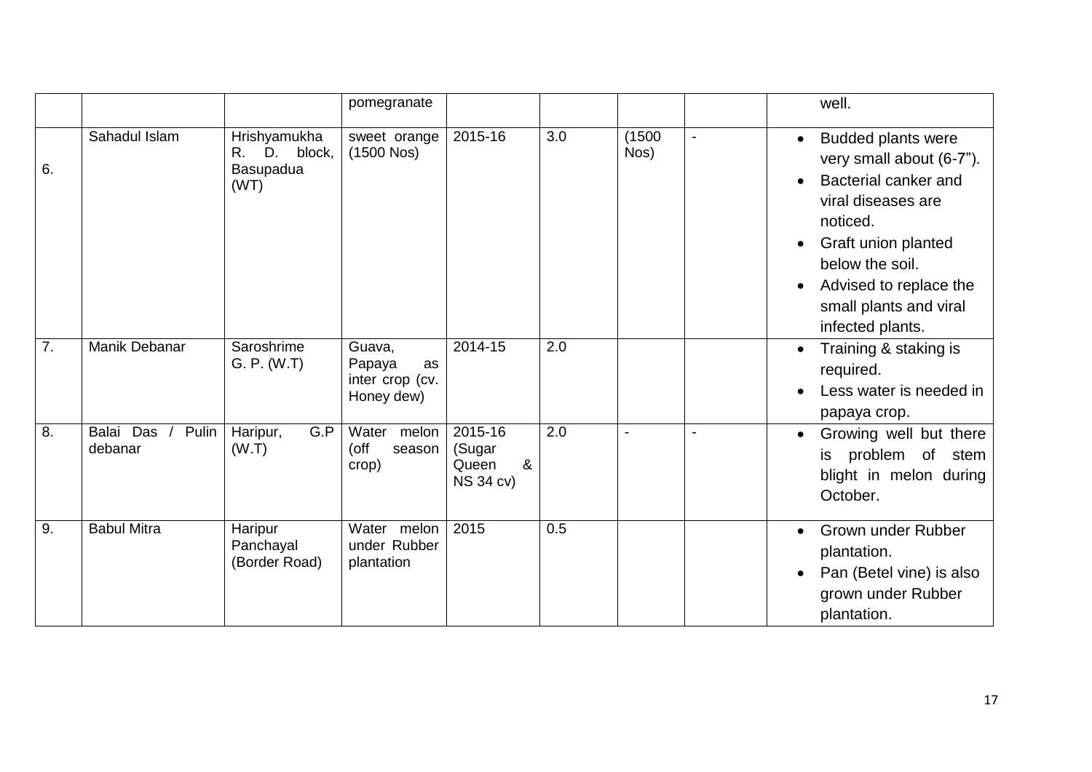|    |                               |                                                   | pomegranate                                             |                                                     |     |                |                          | well.                                                                                                                                                                                                                                                                    |
|----|-------------------------------|---------------------------------------------------|---------------------------------------------------------|-----------------------------------------------------|-----|----------------|--------------------------|--------------------------------------------------------------------------------------------------------------------------------------------------------------------------------------------------------------------------------------------------------------------------|
| 6. | Sahadul Islam                 | Hrishyamukha<br>R. D. block,<br>Basupadua<br>(WT) | sweet orange<br>$(1500$ Nos)                            | 2015-16                                             | 3.0 | (1500)<br>Nos) | $\overline{\phantom{a}}$ | <b>Budded plants were</b><br>$\bullet$<br>very small about (6-7").<br>Bacterial canker and<br>$\bullet$<br>viral diseases are<br>noticed.<br>Graft union planted<br>$\bullet$<br>below the soil.<br>Advised to replace the<br>small plants and viral<br>infected plants. |
| 7. | Manik Debanar                 | Saroshrime<br>G. P. (W.T)                         | Guava,<br>Papaya<br>as<br>inter crop (cv.<br>Honey dew) | $2014 - 15$                                         | 2.0 |                |                          | Training & staking is<br>$\bullet$<br>required.<br>Less water is needed in<br>papaya crop.                                                                                                                                                                               |
| 8. | Balai Das<br>Pulin<br>debanar | G.P<br>Haripur,<br>(W.T)                          | Water melon<br>(off<br>season<br>crop)                  | 2015-16<br>(Sugar<br>&<br>Queen<br><b>NS 34 cv)</b> | 2.0 | $\blacksquare$ |                          | Growing well but there<br>$\bullet$<br>is problem of stem<br>blight in melon during<br>October.                                                                                                                                                                          |
| 9. | <b>Babul Mitra</b>            | Haripur<br>Panchayal<br>(Border Road)             | Water melon<br>under Rubber<br>plantation               | 2015                                                | 0.5 |                |                          | Grown under Rubber<br>$\bullet$<br>plantation.<br>Pan (Betel vine) is also<br>$\bullet$<br>grown under Rubber<br>plantation.                                                                                                                                             |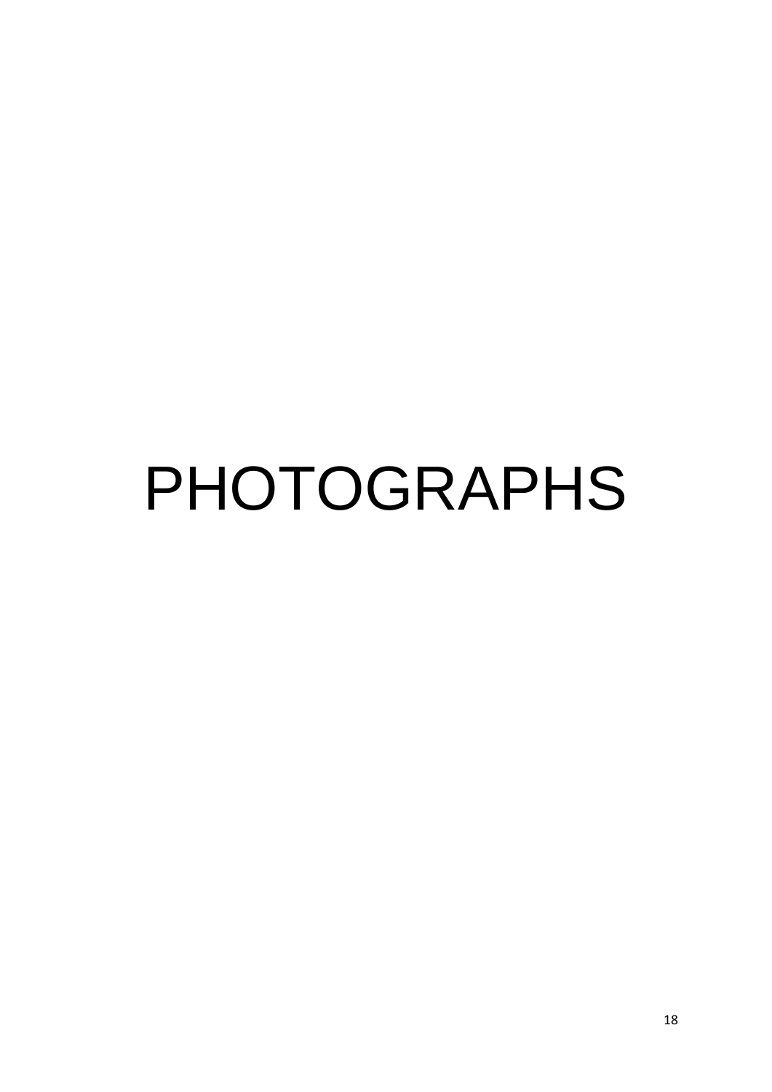# PHOTOGRAPHS